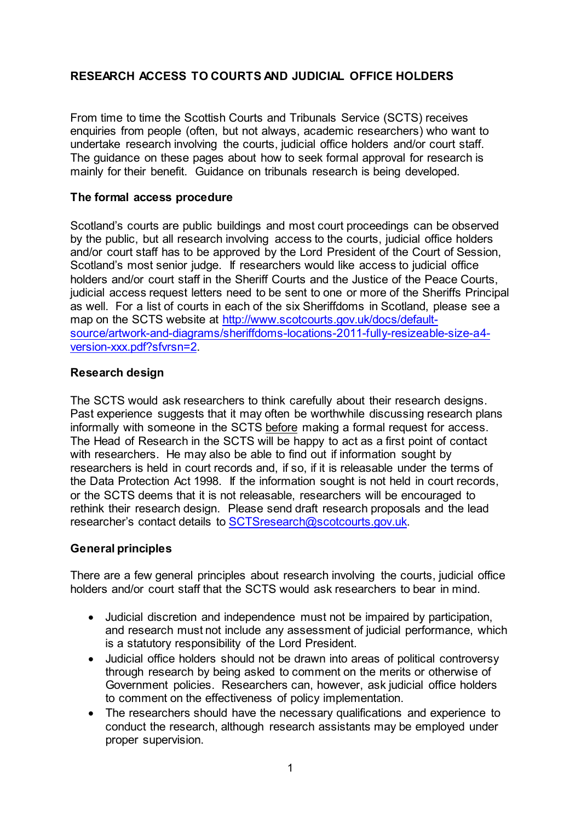# **RESEARCH ACCESS TO COURTS AND JUDICIAL OFFICE HOLDERS**

From time to time the Scottish Courts and Tribunals Service (SCTS) receives enquiries from people (often, but not always, academic researchers) who want to undertake research involving the courts, judicial office holders and/or court staff. The guidance on these pages about how to seek formal approval for research is mainly for their benefit. Guidance on tribunals research is being developed.

### **The formal access procedure**

Scotland's courts are public buildings and most court proceedings can be observed by the public, but all research involving access to the courts, judicial office holders and/or court staff has to be approved by the Lord President of the Court of Session, Scotland's most senior judge. If researchers would like access to judicial office holders and/or court staff in the Sheriff Courts and the Justice of the Peace Courts, judicial access request letters need to be sent to one or more of the Sheriffs Principal as well. For a list of courts in each of the six Sheriffdoms in Scotland, please see a map on the SCTS website at [http://www.scotcourts.gov.uk/docs/default](http://www.scotcourts.gov.uk/docs/default-source/artwork-and-diagrams/sheriffdoms-locations-2011-fully-resizeable-size-a4-version-xxx.pdf?sfvrsn=2)[source/artwork-and-diagrams/sheriffdoms-locations-2011-fully-resizeable-size-a4](http://www.scotcourts.gov.uk/docs/default-source/artwork-and-diagrams/sheriffdoms-locations-2011-fully-resizeable-size-a4-version-xxx.pdf?sfvrsn=2) [version-xxx.pdf?sfvrsn=2.](http://www.scotcourts.gov.uk/docs/default-source/artwork-and-diagrams/sheriffdoms-locations-2011-fully-resizeable-size-a4-version-xxx.pdf?sfvrsn=2)

#### **Research design**

The SCTS would ask researchers to think carefully about their research designs. Past experience suggests that it may often be worthwhile discussing research plans informally with someone in the SCTS before making a formal request for access. The Head of Research in the SCTS will be happy to act as a first point of contact with researchers. He may also be able to find out if information sought by researchers is held in court records and, if so, if it is releasable under the terms of the Data Protection Act 1998. If the information sought is not held in court records, or the SCTS deems that it is not releasable, researchers will be encouraged to rethink their research design. Please send draft research proposals and the lead researcher's contact details to [SCTSresearch@scotcourts.gov.uk.](mailto:SCTSresearch@scotcourts.gov.uk)

#### **General principles**

There are a few general principles about research involving the courts, judicial office holders and/or court staff that the SCTS would ask researchers to bear in mind.

- Judicial discretion and independence must not be impaired by participation, and research must not include any assessment of judicial performance, which is a statutory responsibility of the Lord President.
- Judicial office holders should not be drawn into areas of political controversy through research by being asked to comment on the merits or otherwise of Government policies. Researchers can, however, ask judicial office holders to comment on the effectiveness of policy implementation.
- The researchers should have the necessary qualifications and experience to conduct the research, although research assistants may be employed under proper supervision.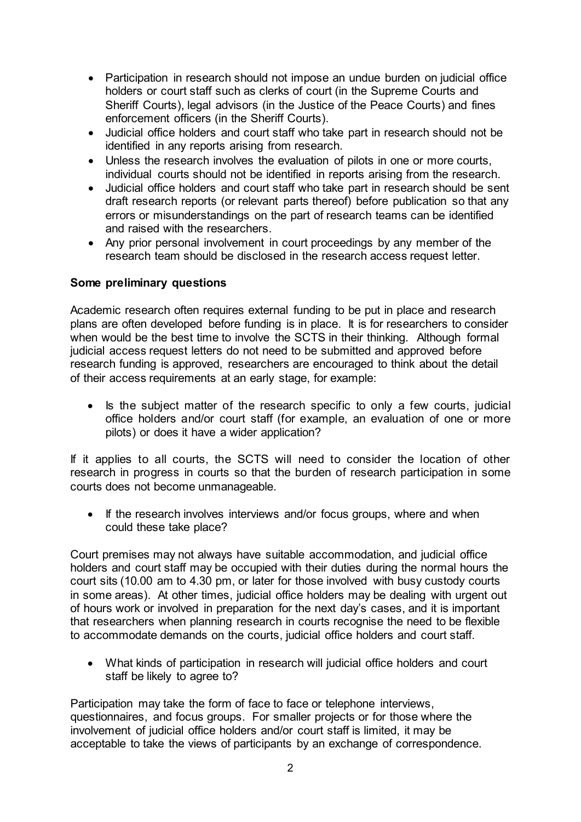- Participation in research should not impose an undue burden on judicial office holders or court staff such as clerks of court (in the Supreme Courts and Sheriff Courts), legal advisors (in the Justice of the Peace Courts) and fines enforcement officers (in the Sheriff Courts).
- Judicial office holders and court staff who take part in research should not be identified in any reports arising from research.
- Unless the research involves the evaluation of pilots in one or more courts, individual courts should not be identified in reports arising from the research.
- Judicial office holders and court staff who take part in research should be sent draft research reports (or relevant parts thereof) before publication so that any errors or misunderstandings on the part of research teams can be identified and raised with the researchers.
- Any prior personal involvement in court proceedings by any member of the research team should be disclosed in the research access request letter.

#### **Some preliminary questions**

Academic research often requires external funding to be put in place and research plans are often developed before funding is in place. It is for researchers to consider when would be the best time to involve the SCTS in their thinking. Although formal judicial access request letters do not need to be submitted and approved before research funding is approved, researchers are encouraged to think about the detail of their access requirements at an early stage, for example:

• Is the subject matter of the research specific to only a few courts, judicial office holders and/or court staff (for example, an evaluation of one or more pilots) or does it have a wider application?

If it applies to all courts, the SCTS will need to consider the location of other research in progress in courts so that the burden of research participation in some courts does not become unmanageable.

• If the research involves interviews and/or focus groups, where and when could these take place?

Court premises may not always have suitable accommodation, and judicial office holders and court staff may be occupied with their duties during the normal hours the court sits (10.00 am to 4.30 pm, or later for those involved with busy custody courts in some areas). At other times, judicial office holders may be dealing with urgent out of hours work or involved in preparation for the next day's cases, and it is important that researchers when planning research in courts recognise the need to be flexible to accommodate demands on the courts, judicial office holders and court staff.

• What kinds of participation in research will judicial office holders and court staff be likely to agree to?

Participation may take the form of face to face or telephone interviews, questionnaires, and focus groups. For smaller projects or for those where the involvement of judicial office holders and/or court staff is limited, it may be acceptable to take the views of participants by an exchange of correspondence.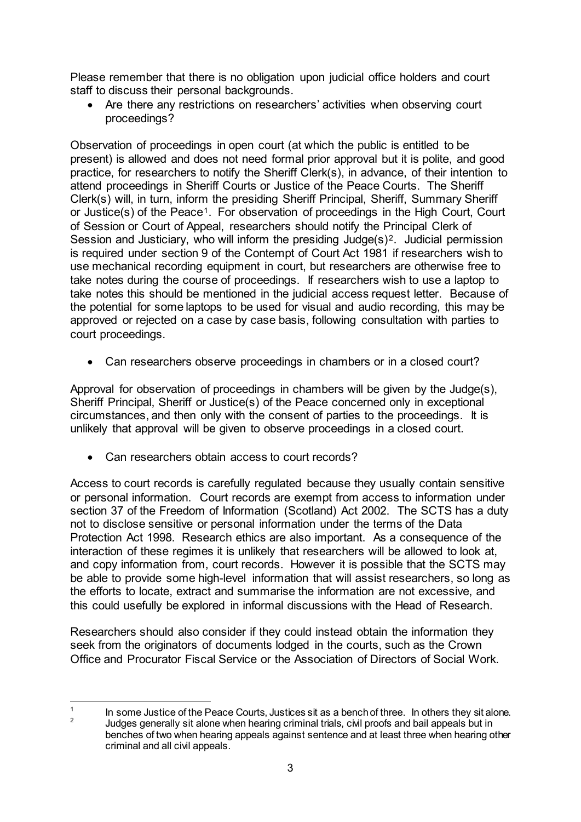Please remember that there is no obligation upon judicial office holders and court staff to discuss their personal backgrounds.

• Are there any restrictions on researchers' activities when observing court proceedings?

Observation of proceedings in open court (at which the public is entitled to be present) is allowed and does not need formal prior approval but it is polite, and good practice, for researchers to notify the Sheriff Clerk(s), in advance, of their intention to attend proceedings in Sheriff Courts or Justice of the Peace Courts. The Sheriff Clerk(s) will, in turn, inform the presiding Sheriff Principal, Sheriff, Summary Sheriff or Justice(s) of the Peace[1](#page-2-0). For observation of proceedings in the High Court, Court of Session or Court of Appeal, researchers should notify the Principal Clerk of Session and Justiciary, who will inform the presiding Judge(s)<sup>[2](#page-2-1)</sup>. Judicial permission is required under section 9 of the Contempt of Court Act 1981 if researchers wish to use mechanical recording equipment in court, but researchers are otherwise free to take notes during the course of proceedings. If researchers wish to use a laptop to take notes this should be mentioned in the judicial access request letter. Because of the potential for some laptops to be used for visual and audio recording, this may be approved or rejected on a case by case basis, following consultation with parties to court proceedings.

• Can researchers observe proceedings in chambers or in a closed court?

Approval for observation of proceedings in chambers will be given by the Judge(s), Sheriff Principal, Sheriff or Justice(s) of the Peace concerned only in exceptional circumstances, and then only with the consent of parties to the proceedings. It is unlikely that approval will be given to observe proceedings in a closed court.

Can researchers obtain access to court records?

Access to court records is carefully regulated because they usually contain sensitive or personal information. Court records are exempt from access to information under section 37 of the Freedom of Information (Scotland) Act 2002. The SCTS has a duty not to disclose sensitive or personal information under the terms of the Data Protection Act 1998. Research ethics are also important. As a consequence of the interaction of these regimes it is unlikely that researchers will be allowed to look at, and copy information from, court records. However it is possible that the SCTS may be able to provide some high-level information that will assist researchers, so long as the efforts to locate, extract and summarise the information are not excessive, and this could usefully be explored in informal discussions with the Head of Research.

Researchers should also consider if they could instead obtain the information they seek from the originators of documents lodged in the courts, such as the Crown Office and Procurator Fiscal Service or the Association of Directors of Social Work.

<span id="page-2-1"></span><span id="page-2-0"></span> $\mathbf{1}$  $\frac{1}{2}$  In some Justice of the Peace Courts, Justices sit as a bench of three. In others they sit alone. <sup>2</sup> Judges generally sit alone when hearing criminal trials, civil proofs and bail appeals but in benches of two when hearing appeals against sentence and at least three when hearing other criminal and all civil appeals.